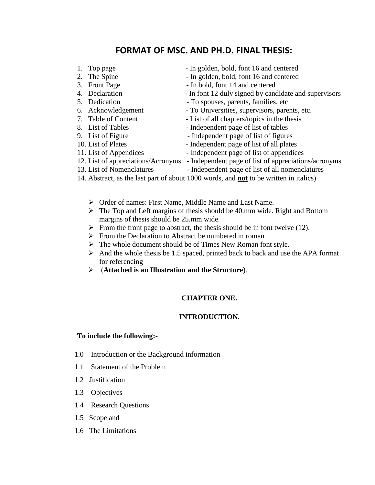# **FORMAT OF MSC. AND PH.D. FINAL THESIS:**

- 
- 
- 
- 
- 
- 
- 
- 
- 
- 
- 
- 1. Top page The Superior In golden, bold, font 16 and centered
- 2. The Spine In golden, bold, font 16 and centered
- 3. Front Page The State of The In bold, font 14 and centered
- 4. Declaration In font 12 duly signed by candidate and supervisors
- 5. Dedication To spouses, parents, families, etc.
- 6. Acknowledgement To Universities, supervisors, parents, etc.
- 7. Table of Content List of all chapters/topics in the thesis
- 8. List of Tables Independent page of list of tables
- 9. List of Figure Independent page of list of figures
- 10. List of Plates Independent page of list of all plates
- 11. List of Appendices Independent page of list of appendices
- 12. List of appreciations/Acronyms Independent page of list of appreciations/acronyms
- 
- 13. List of Nomenclatures Independent page of list of all nomenclatures
- 14. Abstract, as the last part of about 1000 words, and **not** to be written in italics)
	- Order of names: First Name, Middle Name and Last Name.
	- $\triangleright$  The Top and Left margins of thesis should be 40.mm wide. Right and Bottom margins of thesis should be 25.mm wide.
	- From the front page to abstract, the thesis should be in font twelve  $(12)$ .
	- $\triangleright$  From the Declaration to Abstract be numbered in roman
	- $\triangleright$  The whole document should be of Times New Roman font style.
	- $\triangleright$  And the whole thesis be 1.5 spaced, printed back to back and use the APA format for referencing
	- (**Attached is an Illustration and the Structure**).

### **CHAPTER ONE.**

### **INTRODUCTION.**

### **To include the following:-**

- 1.0 Introduction or the Background information
- 1.1 Statement of the Problem
- 1.2 Justification
- 1.3 Objectives
- 1.4 Research Questions
- 1.5 Scope and
- 1.6 The Limitations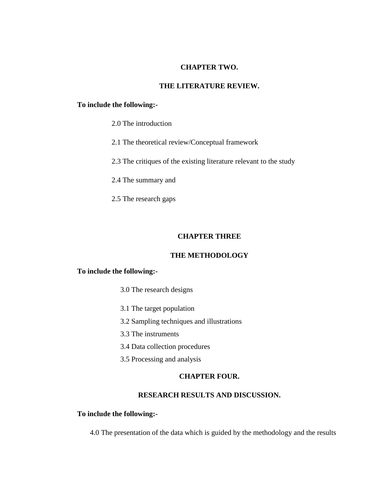### **CHAPTER TWO.**

### **THE LITERATURE REVIEW.**

### **To include the following:-**

- 2.0 The introduction
- 2.1 The theoretical review/Conceptual framework
- 2.3 The critiques of the existing literature relevant to the study
- 2.4 The summary and
- 2.5 The research gaps

#### **CHAPTER THREE**

### **THE METHODOLOGY**

### **To include the following:-**

- 3.0 The research designs
- 3.1 The target population
- 3.2 Sampling techniques and illustrations
- 3.3 The instruments
- 3.4 Data collection procedures
- 3.5 Processing and analysis

### **CHAPTER FOUR.**

### **RESEARCH RESULTS AND DISCUSSION.**

### **To include the following:-**

4.0 The presentation of the data which is guided by the methodology and the results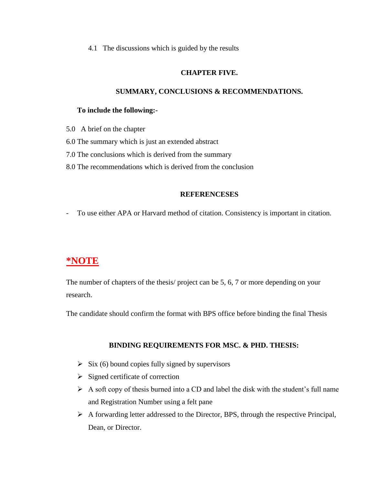4.1 The discussions which is guided by the results

### **CHAPTER FIVE.**

### **SUMMARY, CONCLUSIONS & RECOMMENDATIONS.**

#### **To include the following:-**

- 5.0 A brief on the chapter
- 6.0 The summary which is just an extended abstract
- 7.0 The conclusions which is derived from the summary
- 8.0 The recommendations which is derived from the conclusion

#### **REFERENCESES**

- To use either APA or Harvard method of citation. Consistency is important in citation.

## **\*NOTE**

The number of chapters of the thesis/ project can be 5, 6, 7 or more depending on your research.

The candidate should confirm the format with BPS office before binding the final Thesis

#### **BINDING REQUIREMENTS FOR MSC. & PHD. THESIS:**

- $\triangleright$  Six (6) bound copies fully signed by supervisors
- $\triangleright$  Signed certificate of correction
- $\triangleright$  A soft copy of thesis burned into a CD and label the disk with the student's full name and Registration Number using a felt pane
- $\triangleright$  A forwarding letter addressed to the Director, BPS, through the respective Principal, Dean, or Director.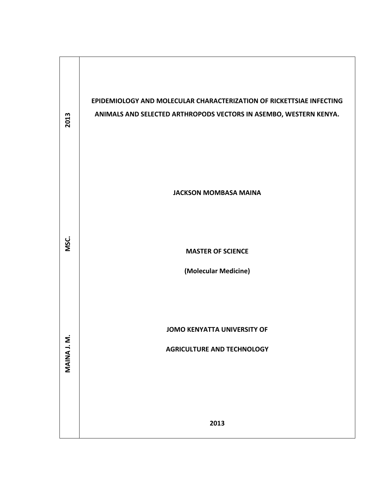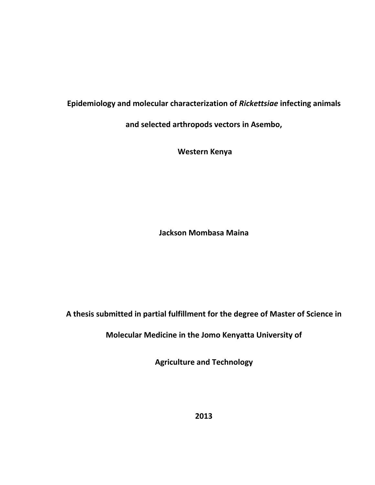# **Epidemiology and molecular characterization of** *Rickettsiae* **infecting animals**

**and selected arthropods vectors in Asembo,**

**Western Kenya**

**Jackson Mombasa Maina**

**A thesis submitted in partial fulfillment for the degree of Master of Science in** 

**Molecular Medicine in the Jomo Kenyatta University of** 

**Agriculture and Technology**

**2013**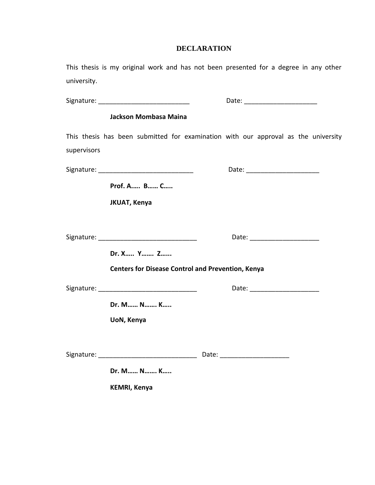### **DECLARATION**

|             |  |  |  |  | This thesis is my original work and has not been presented for a degree in any other |  |  |  |
|-------------|--|--|--|--|--------------------------------------------------------------------------------------|--|--|--|
| university. |  |  |  |  |                                                                                      |  |  |  |

| Signature: | Date: |  |
|------------|-------|--|
|            |       |  |

### **Jackson Mombasa Maina**

This thesis has been submitted for examination with our approval as the university supervisors

Signature: \_\_\_\_\_\_\_\_\_\_\_\_\_\_\_\_\_\_\_\_\_\_\_\_\_\_ Date: \_\_\_\_\_\_\_\_\_\_\_\_\_\_\_\_\_\_\_\_

Signature: \_\_\_\_\_\_\_\_\_\_\_\_\_\_\_\_\_\_\_\_\_\_\_\_\_\_\_ Date: \_\_\_\_\_\_\_\_\_\_\_\_\_\_\_\_\_\_\_

| Signature: |  |  |
|------------|--|--|
|            |  |  |
|            |  |  |

**Prof. A.…. B…… C…..**

**JKUAT, Kenya**

| Signature: |  |
|------------|--|
|            |  |

**Dr. X….. Y……. Z…...**

**Centers for Disease Control and Prevention, Kenya**

Signature: \_\_\_\_\_\_\_\_\_\_\_\_\_\_\_\_\_\_\_\_\_\_\_\_\_\_\_ Date: \_\_\_\_\_\_\_\_\_\_\_\_\_\_\_\_\_\_\_

**Dr. M…… N……. K…..**

**UoN, Kenya**

| Signature: | auc. |
|------------|------|
|            |      |

**Dr. M…… N……. K…..**

**KEMRI, Kenya**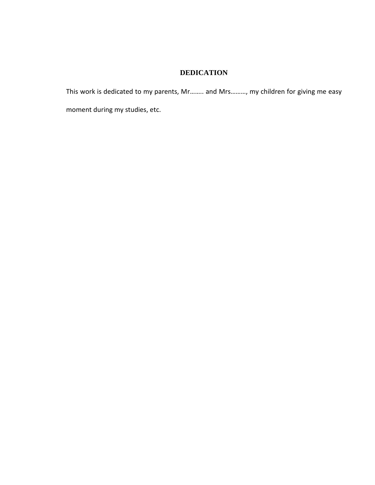## **DEDICATION**

This work is dedicated to my parents, Mr…….. and Mrs………, my children for giving me easy moment during my studies, etc.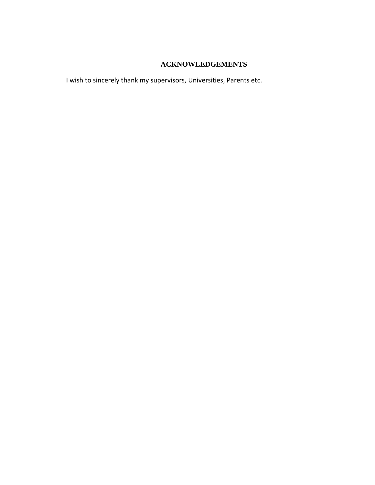### **ACKNOWLEDGEMENTS**

I wish to sincerely thank my supervisors, Universities, Parents etc.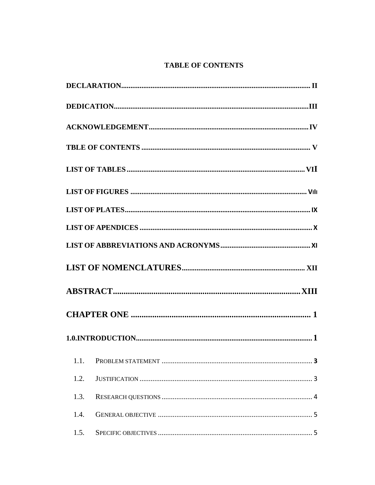# **TABLE OF CONTENTS**

| 1.1. |  |
|------|--|
| 1.2. |  |
| 1.3. |  |
| 1.4. |  |
| 1.5. |  |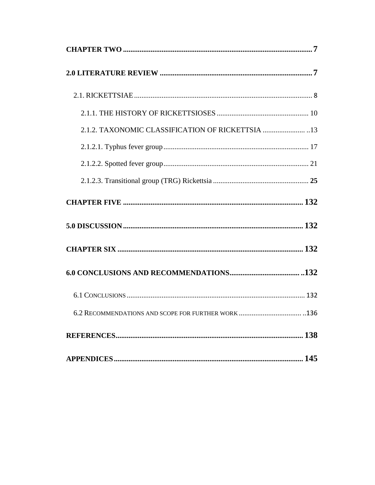| 2.1.2. TAXONOMIC CLASSIFICATION OF RICKETTSIA       |  |
|-----------------------------------------------------|--|
|                                                     |  |
|                                                     |  |
|                                                     |  |
|                                                     |  |
|                                                     |  |
|                                                     |  |
|                                                     |  |
|                                                     |  |
| 6.2 RECOMMENDATIONS AND SCOPE FOR FURTHER WORK .136 |  |
|                                                     |  |
|                                                     |  |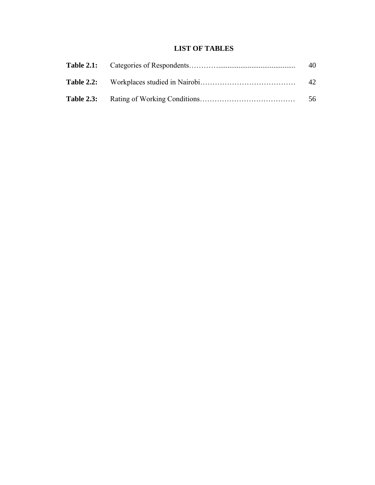# **LIST OF TABLES**

|  | 40 |
|--|----|
|  | 42 |
|  | 56 |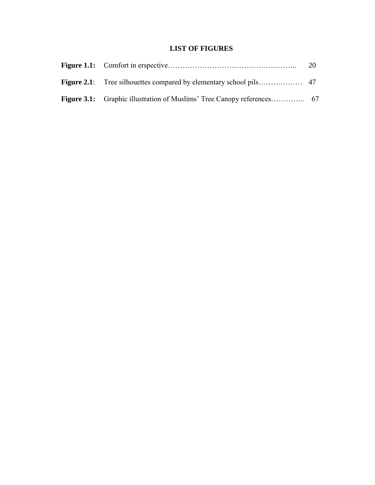## **LIST OF FIGURES**

|  | 20 |
|--|----|
|  |    |
|  |    |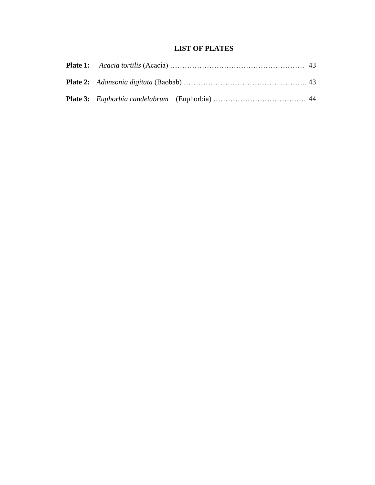### **LIST OF PLATES**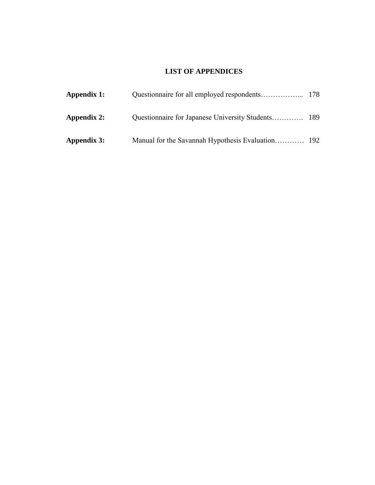## **LIST OF APPENDICES**

| Appendix 1:        |  |
|--------------------|--|
| Appendix 2:        |  |
| <b>Appendix 3:</b> |  |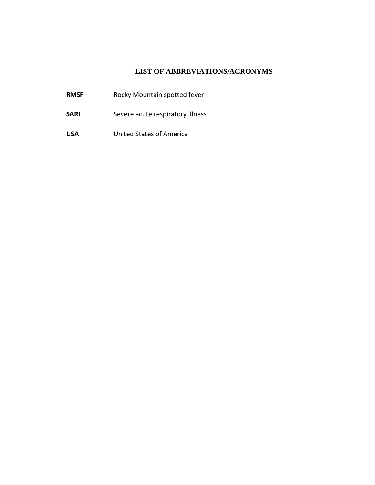## **LIST OF ABBREVIATIONS/ACRONYMS**

- **RMSF** Rocky Mountain spotted fever
- **SARI** Severe acute respiratory illness
- **USA** United States of America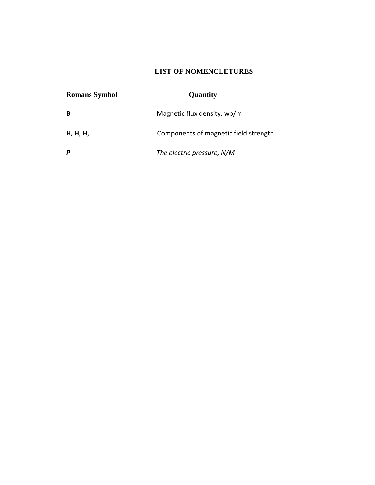## **LIST OF NOMENCLETURES**

| <b>Romans Symbol</b> | <b>Quantity</b>                       |
|----------------------|---------------------------------------|
| В                    | Magnetic flux density, wb/m           |
| H, H, H,             | Components of magnetic field strength |
|                      | The electric pressure, N/M            |